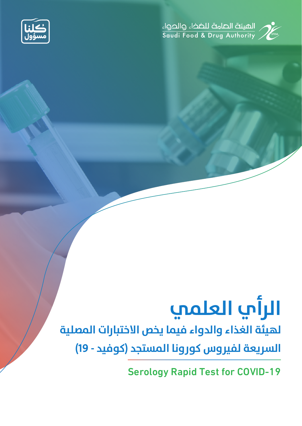

## الصيئة الصامة للضخاء والحواء<br>Saudi Food & Drug Authority



# **الرأي العلمي**

## **لهيئة الغذاء والدواء فيما يخص الاختبارات المصلية**

**السريعة لفيروس كورونا المستجد (كوفيد - 19)**

Serology Rapid Test for COVID-19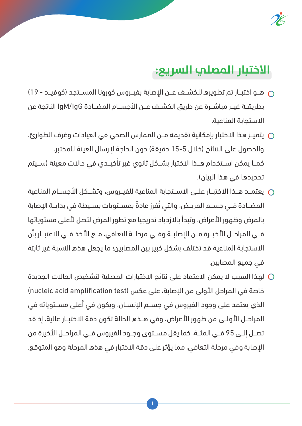

### **الاختبار المصلي السريع:**

- هــو اختبــار تم تطويره للكشــف عــن الإصابة بفيــروس كورونا المســتجد (كوفيــد 19) بطريقــة غيــر مباشــرة عن طريق الكشــف عــن الأجســام المضــادة IgM/IgG الناتجة عن الاستحابة المناعية.
- يتميــز هذا الاختبار بإمكانية تقديمه مــن الممارس الصحى في العيادات وغرف الطوارئ،  $\bigcirc$ والحصول على النتائج (خلال 5-15 دقيقة) دون الحاجة لإرسال العينة للمختبر. كمــا يمكن اســتخدام هــذا الاختبار بشــكل ثانوي غير تأكيــدي فى حالات معينة (ســيتم تحديدها في هذا البيان).
- ن يعتمـد هــذا الاختبــار علــى الاســتجابة المناعية للفيــروس، وتشــكل الأجســام المناعية الم المضـادة فــى جســم المريــض، والتي تَفرز عادةً بمســتويات بســيطة في بدايــة الإصابة بالمرض وظهور الأعراض، وتبدأ بالازدياد تدريجيا مع تطور المرض لتصل لأعلى مستوياتها فــى المراحــل الأخيــرة مــن الإصابــة وفــى مرحلــة التعافى، مــع الأخذ فــى الاعتبــار بأن الاستجابة المناعية قد تختلف بشكل كبير بين المصابين؛ ما يجعل هذه النسبة غير ثابتة في جميع المصابين.
- لهذا السبب لا يمكن الاعتماد على نتائج الاختبارات المصلية لتشخيص الحالات الجديدة  $\bigcirc$ خاصة في المراحل الأولى من الإصابة، على عكس (nucleic acid amplification test) الذي يعتمد على وجود الفيروس في جســم الإنســان، ويكون في أعلى مســتوياته في المراحـــل الأولــــى من ظهور الأعراض، وفــى هـــذه الحالة تكون دقة الاختبـــار عالية، إذ قد تصـل إلـى 95 فـى المئــة، كما يقل مســتوى وجــود الفيروس فــى المراحـل الأخيرة من الإصابة وفي مرحلة التعافي، مما يؤثر على دقة الاختبار في هذه المرحلة وهو المتوقع.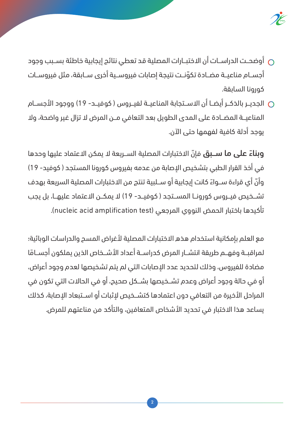

- وضحـت الدراسـات أن الاختبــارات المصلية قد تعطى نتائج إيجابية خاطئة بســبب وجود  $\cap$ أجســام مناعيــة مضــادة تكوّنــت نتيجة إصابات فيروســية أخرى ســابقة، مثل فيروســات كورونا السابقة.
- الجديــر بالذكــر أيضــا أن الاســتجابة المناعيــة لفيــروس ( كوفيــد- 19) ووجود الأجســام المناعيــة المضـادة على المدى الطويل بعد التعافي مــن المرض لا تزال غير واضحة، ولا بوحد أدلة كافية لفهمها حتى الآن.

**وبناءً على ما ســبق** فإنّ الاختبارات المصلية الســريعة لا يمكن الاعتماد عليها وحدها في أخذ القرار الطبي بتشخيص الإصابة من عدمه بفيروس كورونا المستجد ( كوفيد- 19) وأنّ أي قراءة ســواءً كانت إيجابية أو ســلبية تنتج من الاختبارات المصلية السريعة بهدف تشــخيص فيــروس كورونــا المســتجد ( كوفيــد- 19) لا يمكــن الاعتماد عليهــا، بل يجب تأكيدها باختبار الحمض النووي المرجعي (nucleic acid amplification test).

مع العلم بإمكانية استخدام هذه الاختبارات المصلية لأغراض المسح والدراسات الوبائية؛ لمراقبــة وفهــم طريقة انتشــار المرض كدراســة أعداد الأشــخاص الذين يملكون أجســامًا مضادة للفيروس، وذلك لتحديد عدد الإصابات التي لم يتم تشخيصها لعدم وجود أعراض، أو في حالة وجود أعراض وعدم تشــخيصها بشــكل صحيح، أو في الحالات التي تكون في المراحل الأخيرة من التعافي دون اعتمادها كتشــخيص لإثبات أو اســتبعاد الإصابة، كذلك يساعد هذا الاختبار في تحديد الأشخاص المتعافين، والتأكد من مناعتهم للمرض.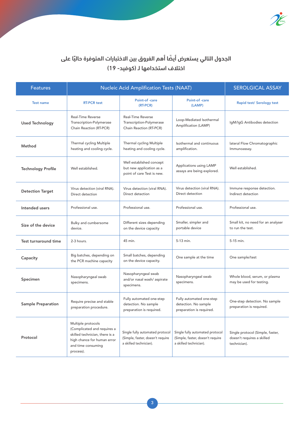

#### الجدول التالي يستعرض أيضًا أهم الفروق بين الاختبارات المتوفرة حاليًا على اختلاف استخدامها لـ (كوفيد- 19)

| <b>Features</b>           | <b>Nucleic Acid Amplification Tests (NAAT)</b>                                                                                                        |                                                                                               |                                                                                               | <b>SEROLGICAL ASSAY</b>                                                        |
|---------------------------|-------------------------------------------------------------------------------------------------------------------------------------------------------|-----------------------------------------------------------------------------------------------|-----------------------------------------------------------------------------------------------|--------------------------------------------------------------------------------|
| <b>Test name</b>          | <b>RT-PCR test</b>                                                                                                                                    | Point-of-care<br>(RT-PCR)                                                                     | Point-of-care<br>(LAMP)                                                                       | <b>Rapid test/ Serology test</b>                                               |
| <b>Used Technology</b>    | <b>Real-Time Reverse</b><br>Transcription-Polymerase<br>Chain Reaction (RT-PCR)                                                                       | <b>Real-Time Reverse</b><br>Transcription-Polymerase<br>Chain Reaction (RT-PCR)               | Loop-Mediated Isothermal<br>Amplification (LAMP)                                              | IgM/IgG Antibodies detection                                                   |
| Method                    | Thermal cycling Multiple<br>heating and cooling cycle.                                                                                                | Thermal cycling Multiple<br>heating and cooling cycle.                                        | Isothermal and continuous<br>amplification.                                                   | lateral Flow Chromatographic<br>Immunoassay.                                   |
| <b>Technology Profile</b> | Well established.                                                                                                                                     | Well established concept<br>but new application as a<br>point of care Test is new.            | Applications using LAMP<br>assays are being explored.                                         | Well established.                                                              |
| <b>Detection Target</b>   | Virus detection (viral RNA).<br>Direct detection                                                                                                      | Virus detection (viral RNA).<br>Direct detection                                              | Virus detection (viral RNA).<br>Direct detection                                              | Immune response detection.<br>Indirect detection                               |
| Intended users            | Professional use.                                                                                                                                     | Professional use.                                                                             | Professional use.                                                                             | Professional use.                                                              |
| Size of the device        | Bulky and cumbersome<br>device.                                                                                                                       | Different sizes depending<br>on the device capacity                                           | Smaller, simpler and<br>portable device                                                       | Small kit, no need for an analyser<br>to run the test.                         |
| Test turnaround time      | 2-3 hours.                                                                                                                                            | 45 min.                                                                                       | 5-13 min.                                                                                     | 5-15 min.                                                                      |
| Capacity                  | Big batches, depending on<br>the PCR machine capacity                                                                                                 | Small batches, depending<br>on the device capacity.                                           | One sample at the time                                                                        | One sample/test                                                                |
| Specimen                  | Nasopharyngeal swab<br>specimens.                                                                                                                     | Nasopharyngeal swab<br>and/or nasal wash/ aspirate<br>specimens.                              | Nasopharyngeal swab<br>specimens.                                                             | Whole blood, serum, or plasma<br>may be used for testing.                      |
| <b>Sample Preparation</b> | Require precise and stable<br>preparation procedure.                                                                                                  | Fully automated one-step<br>detection. No sample<br>preparation is required.                  | Fully automated one-step<br>detection. No sample<br>preparation is required.                  | One-step detection. No sample<br>preparation is required.                      |
| Protocol                  | Multiple protocols<br>(Complicated and requires a<br>skilled technician, there is a<br>high chance for human error<br>and time consuming<br>process). | Single fully automated protocol<br>(Simple, faster, doesn't require<br>a skilled technician). | Single fully automated protocol<br>(Simple, faster, doesn't require<br>a skilled technician). | Single protocol (Simple, faster,<br>doesn't requires a skilled<br>technician). |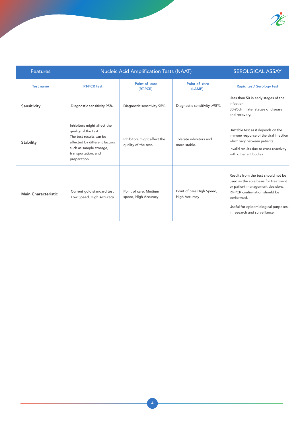

| <b>Features</b>            | <b>Nucleic Acid Amplification Tests (NAAT)</b>                                                                                                                                    | <b>SEROLGICAL ASSAY</b>                             |                                                   |                                                                                                                                                                                                                                         |
|----------------------------|-----------------------------------------------------------------------------------------------------------------------------------------------------------------------------------|-----------------------------------------------------|---------------------------------------------------|-----------------------------------------------------------------------------------------------------------------------------------------------------------------------------------------------------------------------------------------|
| <b>Test name</b>           | <b>RT-PCR test</b>                                                                                                                                                                | Point-of-care<br>(RT-PCR)                           | Point-of-care<br>(LAMP)                           | Rapid test/ Serology test                                                                                                                                                                                                               |
| Sensitivity                | Diagnostic sensitivity 95%.                                                                                                                                                       | Diagnostic sensitivity 95%.                         | Diagnostic sensitivity >95%.                      | xless than 50 in early stages of the<br>infection<br>80-95% in later stages of disease<br>and recovery.                                                                                                                                 |
| Stability                  | Inhibitors might affect the<br>quality of the test.<br>The test results can be<br>affected by different factors<br>such as sample storage,<br>transportation, and<br>preparation. | Inhibitors might affect the<br>quality of the test. | Tolerate inhibitors and<br>more stable.           | Unstable test as it depends on the<br>immune response of the viral infection<br>which vary between patients.<br>Invalid results due to cross-reactivity<br>with other antibodies.                                                       |
| <b>Main Characteristic</b> | Current gold standard test<br>Low Speed, High Accuracy                                                                                                                            | Point of care, Medium<br>speed, High Accuracy       | Point of care High Speed,<br><b>High Accuracy</b> | Results from the test should not be<br>used as the sole basis for treatment<br>or patient management decisions.<br>RT-PCR confirmation should be<br>performed.<br>Useful for epidemiological purposes,<br>in research and surveillance. |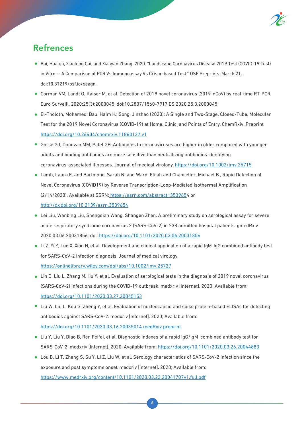

#### Refrences

- Bai, Huajun, Xiaolong Cai, and Xiaoyan Zhang. 2020. "Landscape Coronavirus Disease 2019 Test (COVID-19 Test) in Vitro -- A Comparison of PCR Vs Immunoassay Vs Crispr-based Test." OSF Preprints. March 21. doi:10.31219/osf.io/6eagn.
- Corman VM, Landt O, Kaiser M, et al. Detection of 2019 novel coronavirus (2019-nCoV) by real-time RT-PCR. Euro Surveill. 2020;25(3):2000045. doi:10.2807/1560-7917.ES.2020.25.3.2000045
- El-Tholoth, Mohamed; Bau, Haim H.; Song, Jinzhao (2020): A Single and Two-Stage, Closed-Tube, Molecular Test for the 2019 Novel Coronavirus (COVID-19) at Home, Clinic, and Points of Entry. ChemRxiv. Preprint. https://doi.org/10.26434/chemrxiv.11860137.v1
- Gorse GJ, Donovan MM, Patel GB. Antibodies to coronaviruses are higher in older compared with younger adults and binding antibodies are more sensitive than neutralizing antibodies identifying coronavirus-associated illnesses. Journal of medical virology. https://doi.org/10.1002/jmv.25715
- Lamb, Laura E. and Bartolone, Sarah N. and Ward, Elijah and Chancellor, Michael B., Rapid Detection of Novel Coronavirus (COVID19) by Reverse Transcription-Loop-Mediated Isothermal Amplification (2/14/2020). Available at SSRN: https://ssrn.com/abstract=3539654 or http://dx.doi.org/10.2139/ssrn.3539654
- Lei Liu, Wanbing Liu, Shengdian Wang, Shangen Zhen. A preliminary study on serological assay for severe acute respiratory syndrome coronavirus 2 (SARS-CoV-2) in 238 admitted hospital patients. gmedRxiv 2020.03.06.20031856; doi: https://doi.org/10.1101/2020.03.06.20031856
- Li Z, Yi Y, Luo X, Xion N, et al. Development and clinical application of a rapid IgM-IgG combined antibody test for SARS-CoV-2 infection diagnosis. Journal of medical virology. https://onlinelibrary.wiley.com/doi/abs/10.1002/jmv.25727
- Lin D, Liu L, Zhang M, Hu Y, et al. Evaluation of serological tests in the diagnosis of 2019 novel coronavirus (SARS-CoV-2) infections during the COVID-19 outbreak. medxriv [Internet]. 2020; Available from: https://doi.org/10.1101/2020.03.27.20045153
- Liu W, Liu L, Kou G, Zheng Y, et al. Evaluation of nucleocapsid and spike protein-based ELISAs for detecting antibodies against SARS-CoV-2. medxriv [Internet]. 2020; Available from: https://doi.org/10.1101/2020.03.16.20035014 medRxiv preprint
- Liu Y, Liu Y, Diao B, Ren Feifei, et al. Diagnostic indexes of a rapid IgG/IgM combined antibody test for SARS-CoV-2. medxriv [Internet]. 2020; Available from: https://doi.org/10.1101/2020.03.26.20044883
- Lou B, Li T, Zheng S, Su Y, Li Z, Liu W, et al. Serology characteristics of SARS-CoV-2 infection since the exposure and post symptoms onset. medxriv [Internet]. 2020; Available from: https://www.medrxiv.org/content/10.1101/2020.03.23.20041707v1.full.pdf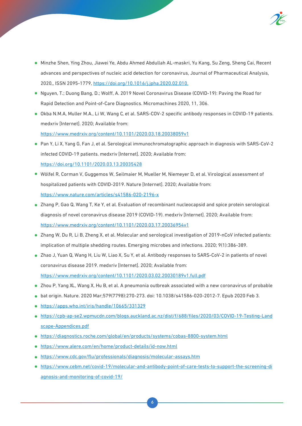

- Minzhe Shen, Ying Zhou, Jiawei Ye, Abdu Ahmed Abdullah AL-maskri, Yu Kang, Su Zeng, Sheng Cai, Recent advances and perspectives of nucleic acid detection for coronavirus, Journal of Pharmaceutical Analysis, 2020,, ISSN 2095-1779, https://doi.org/10.1016/j.jpha.2020.02.010.
- Nguyen, T.; Duong Bang, D.; Wolff, A. 2019 Novel Coronavirus Disease (COVID-19): Paving the Road for Rapid Detection and Point-of-Care Diagnostics. Micromachines 2020, 11, 306.
- Okba N.M.A, Muller M.A., Li W, Wang C, et al. SARS-COV-2 specific antibody responses in COVID-19 patients. medxriv [Internet]. 2020; Available from: https://www.medrxiv.org/content/10.1101/2020.03.18.20038059v1
- Pan Y, Li X, Yang G, Fan J, et al. Serological immunochromatographic approach in diagnosis with SARS-CoV-2 infected COVID-19 patients. medxriv [Internet]. 2020; Available from: https://doi.org/10.1101/2020.03.13.20035428
- Wölfel R, Corman V, Guggemos W, Seilmaier M, Mueller M, Niemeyer D, et al. Virological assessment of hospitalized patients with COVID-2019. Nature [Internet]. 2020; Available from: https://www.nature.com/articles/s41586-020-2196-x
- Zhang P, Gao Q, Wang T, Ke Y, et al. Evaluation of recombinant nucleocapsid and spice protein serological diagnosis of novel coronavirus disease 2019 (COVID-19). medxriv [Internet]. 2020; Available from: https://www.medrxiv.org/content/10.1101/2020.03.17.20036954v1
- Zhang W, Du R, Li B, Zheng X, et al. Molecular and serological investigation of 2019-nCoV infected patients: implication of multiple shedding routes. Emerging microbes and infections. 2020; 9(1):386-389.
- Zhao J, Yuan Q, Wang H, Liu W, Liao X, Su Y, et al. Antibody responses to SARS-CoV-2 in patients of novel coronavirus disease 2019. medxriv [Internet]. 2020; Available from: https://www.medrxiv.org/content/10.1101/2020.03.02.20030189v1.full.pdf
- Zhou P, Yang XL, Wang X, Hu B, et al. A pneumonia outbreak associated with a new coronavirus of probable
- bat origin. Nature. 2020 Mar;579(7798):270-273. doi: 10.1038/s41586-020-2012-7. Epub 2020 Feb 3.
- https://apps.who.int/iris/handle/10665/331329
- https://cpb-ap-se2.wpmucdn.com/blogs.auckland.ac.nz/dist/f/688/files/2020/03/COVID-19-Testing-Land scape-Appendices.pdf
- https://diagnostics.roche.com/global/en/products/systems/cobas-8800-system.html
- https://www.alere.com/en/home/product-details/id-now.html
- https://www.cdc.gov/flu/professionals/diagnosis/molecular-assays.htm
- https://www.cebm.net/covid-19/molecular-and-antibody-point-of-care-tests-to-support-the-screening-di agnosis-and-monitoring-of-covid-19/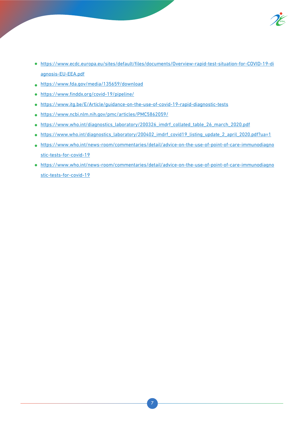

- https://www.ecdc.europa.eu/sites/default/files/documents/Overview-rapid-test-situation-for-COVID-19-di agnosis-EU-EEA.pdf
- https://www.fda.gov/media/135659/download
- https://www.finddx.org/covid-19/pipeline/
- https://www.itg.be/E/Article/guidance-on-the-use-of-covid-19-rapid-diagnostic-tests
- https://www.ncbi.nlm.nih.gov/pmc/articles/PMC5862059/
- o https://www.who.int/diagnostics\_laboratory/200326\_imdrf\_collated\_table\_26\_march\_2020.pdf
- https://www.who.int/diagnostics\_laboratory/200402\_imdrf\_covid19\_listing\_update\_2\_april\_2020.pdf?ua=1
- https://www.who.int/news-room/commentaries/detail/advice-on-the-use-of-point-of-care-immunodiagno stic-tests-for-covid-19
- https://www.who.int/news-room/commentaries/detail/advice-on-the-use-of-point-of-care-immunodiagno stic-tests-for-covid-19